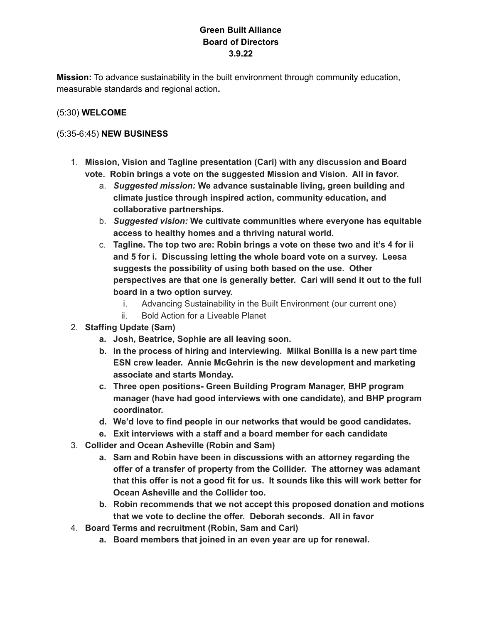# **Green Built Alliance Board of Directors 3.9.22**

**Mission:** To advance sustainability in the built environment through community education, measurable standards and regional action**.**

# (5:30) **WELCOME**

# (5:35-6:45) **NEW BUSINESS**

- 1. **Mission, Vision and Tagline presentation (Cari) with any discussion and Board vote. Robin brings a vote on the suggested Mission and Vision. All in favor.**
	- a. *Suggested mission:* **We advance sustainable living, green building and climate justice through inspired action, community education, and collaborative partnerships.**
	- b. *Suggested vision:* **We cultivate communities where everyone has equitable access to healthy homes and a thriving natural world.**
	- c. **Tagline. The top two are: Robin brings a vote on these two and it's 4 for ii and 5 for i. Discussing letting the whole board vote on a survey. Leesa suggests the possibility of using both based on the use. Other perspectives are that one is generally better. Cari will send it out to the full board in a two option survey.**
		- i. Advancing Sustainability in the Built Environment (our current one)
		- ii. Bold Action for a Liveable Planet
- 2. **Staffing Update (Sam)**
	- **a. Josh, Beatrice, Sophie are all leaving soon.**
	- **b. In the process of hiring and interviewing. Milkal Bonilla is a new part time ESN crew leader. Annie McGehrin is the new development and marketing associate and starts Monday.**
	- **c. Three open positions- Green Building Program Manager, BHP program manager (have had good interviews with one candidate), and BHP program coordinator.**
	- **d. We'd love to find people in our networks that would be good candidates.**
	- **e. Exit interviews with a staff and a board member for each candidate**
- 3. **Collider and Ocean Asheville (Robin and Sam)**
	- **a. Sam and Robin have been in discussions with an attorney regarding the offer of a transfer of property from the Collider. The attorney was adamant that this offer is not a good fit for us. It sounds like this will work better for Ocean Asheville and the Collider too.**
	- **b. Robin recommends that we not accept this proposed donation and motions that we vote to decline the offer. Deborah seconds. All in favor**
- 4. **Board Terms and recruitment (Robin, Sam and Cari)**
	- **a. Board members that joined in an even year are up for renewal.**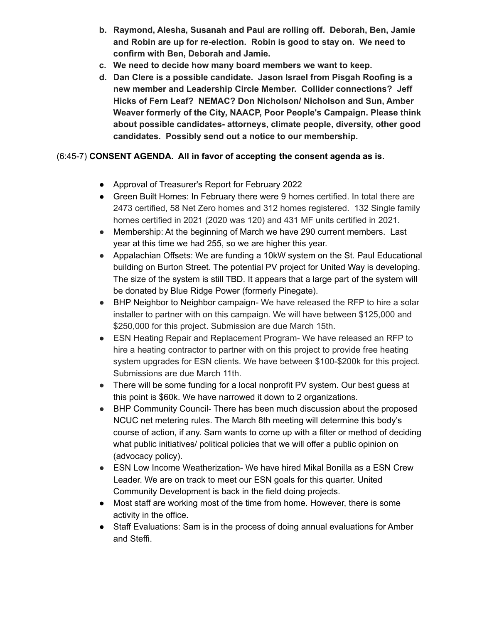- **b. Raymond, Alesha, Susanah and Paul are rolling off. Deborah, Ben, Jamie and Robin are up for re-election. Robin is good to stay on. We need to confirm with Ben, Deborah and Jamie.**
- **c. We need to decide how many board members we want to keep.**
- **d. Dan Clere is a possible candidate. Jason Israel from Pisgah Roofing is a new member and Leadership Circle Member. Collider connections? Jeff Hicks of Fern Leaf? NEMAC? Don Nicholson/ Nicholson and Sun, Amber Weaver formerly of the City, NAACP, Poor People's Campaign. Please think about possible candidates- attorneys, climate people, diversity, other good candidates. Possibly send out a notice to our membership.**

# (6:45-7) **CONSENT AGENDA. All in favor of accepting the consent agenda as is.**

- Approval of Treasurer's Report for February 2022
- Green Built Homes: In February there were 9 homes certified. In total there are 2473 certified, 58 Net Zero homes and 312 homes registered. 132 Single family homes certified in 2021 (2020 was 120) and 431 MF units certified in 2021.
- Membership: At the beginning of March we have 290 current members. Last year at this time we had 255, so we are higher this year.
- Appalachian Offsets: We are funding a 10kW system on the St. Paul Educational building on Burton Street. The potential PV project for United Way is developing. The size of the system is still TBD. It appears that a large part of the system will be donated by Blue Ridge Power (formerly Pinegate).
- BHP Neighbor to Neighbor campaign- We have released the RFP to hire a solar installer to partner with on this campaign. We will have between \$125,000 and \$250,000 for this project. Submission are due March 15th.
- ESN Heating Repair and Replacement Program- We have released an RFP to hire a heating contractor to partner with on this project to provide free heating system upgrades for ESN clients. We have between \$100-\$200k for this project. Submissions are due March 11th.
- There will be some funding for a local nonprofit PV system. Our best guess at this point is \$60k. We have narrowed it down to 2 organizations.
- BHP Community Council- There has been much discussion about the proposed NCUC net metering rules. The March 8th meeting will determine this body's course of action, if any. Sam wants to come up with a filter or method of deciding what public initiatives/ political policies that we will offer a public opinion on (advocacy policy).
- ESN Low Income Weatherization- We have hired Mikal Bonilla as a ESN Crew Leader. We are on track to meet our ESN goals for this quarter. United Community Development is back in the field doing projects.
- Most staff are working most of the time from home. However, there is some activity in the office.
- Staff Evaluations: Sam is in the process of doing annual evaluations for Amber and Steffi.